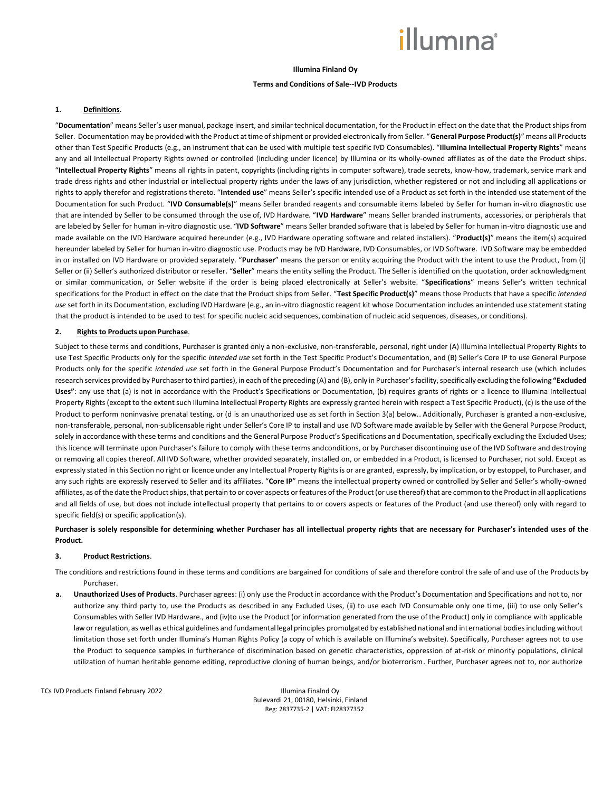# *illum*ına<sup>\*</sup>

## **Illumina Finland Oy**

## **Terms and Conditions of Sale--IVD Products**

#### **1. Definitions**.

"**Documentation**" means Seller's user manual, package insert, and similar technical documentation, for the Product in effect on the date that the Product ships from Seller. Documentation may be provided with the Product at time of shipment or provided electronically from Seller. "**General Purpose Product(s)**" means all Products other than Test Specific Products (e.g., an instrument that can be used with multiple test specific IVD Consumables). "**Illumina Intellectual Property Rights**" means any and all Intellectual Property Rights owned or controlled (including under licence) by Illumina or its wholly-owned affiliates as of the date the Product ships. "**Intellectual Property Rights**" means all rights in patent, copyrights (including rights in computer software), trade secrets, know-how, trademark, service mark and trade dress rights and other industrial or intellectual property rights under the laws of any jurisdiction, whether registered or not and including all applications or rights to apply therefor and registrations thereto. "**Intended use**" means Seller's specific intended use of a Product as set forth in the intended use statement of the Documentation for such Product. "**IVD Consumable(s)**" means Seller branded reagents and consumable items labeled by Seller for human in-vitro diagnostic use that are intended by Seller to be consumed through the use of, IVD Hardware. "**IVD Hardware**" means Seller branded instruments, accessories, or peripherals that are labeled by Seller for human in-vitro diagnostic use. "**IVD Software**" means Seller branded software that is labeled by Seller for human in-vitro diagnostic use and made available on the IVD Hardware acquired hereunder (e.g., IVD Hardware operating software and related installers). "**Product(s)**" means the item(s) acquired hereunder labeled by Seller for human in-vitro diagnostic use. Products may be IVD Hardware, IVD Consumables, or IVD Software. IVD Software may be embedded in or installed on IVD Hardware or provided separately. "**Purchaser**" means the person or entity acquiring the Product with the intent to use the Product, from (i) Seller or (ii) Seller's authorized distributor or reseller. "Seller" means the entity selling the Product. The Seller is identified on the quotation, order acknowledgment or similar communication, or Seller website if the order is being placed electronically at Seller's website. "**Specifications**" means Seller's written technical specifications for the Product in effect on the date that the Product ships from Seller. "**Test Specific Product(s)**" means those Products that have a specific *intended use* set forth in its Documentation, excluding IVD Hardware (e.g., an in-vitro diagnostic reagent kit whose Documentation includes an intended use statement stating that the product is intended to be used to test for specific nucleic acid sequences, combination of nucleic acid sequences, diseases, or conditions).

### **2. Rights to Products upon Purchase**.

Subject to these terms and conditions, Purchaser is granted only a non-exclusive, non-transferable, personal, right under (A) Illumina Intellectual Property Rights to use Test Specific Products only for the specific *intended use* set forth in the Test Specific Product's Documentation, and (B) Seller's Core IP to use General Purpose Products only for the specific *intended use* set forth in the General Purpose Product's Documentation and for Purchaser's internal research use (which includes research services provided by Purchaser to third parties), in each of the preceding (A) and (B), only in Purchaser's facility, specifically excluding the following **"Excluded Uses"**: any use that (a) is not in accordance with the Product's Specifications or Documentation, (b) requires grants of rights or a licence to Illumina Intellectual Property Rights (except to the extent such Illumina Intellectual Property Rights are expressly granted herein with respect a Test Specific Product), (c) is the use of the Product to perform noninvasive prenatal testing, or (d is an unauthorized use as set forth in Section 3(a) below.. Additionally, Purchaser is granted a non-exclusive, non-transferable, personal, non-sublicensable right under Seller's Core IP to install and use IVD Software made available by Seller with the General Purpose Product, solely in accordance with these terms and conditions and the General Purpose Product's Specifications and Documentation, specifically excluding the Excluded Uses; this licence will terminate upon Purchaser's failure to comply with these terms andconditions, or by Purchaser discontinuing use of the IVD Software and destroying or removing all copies thereof. All IVD Software, whether provided separately, installed on, or embedded in a Product, is licensed to Purchaser, not sold. Except as expressly stated in this Section no right or licence under any Intellectual Property Rights is or are granted, expressly, by implication, or by estoppel, to Purchaser, and any such rights are expressly reserved to Seller and its affiliates. "Core IP" means the intellectual property owned or controlled by Seller and Seller's wholly-owned affiliates, as of the date the Product ships, that pertain to or cover aspects or features of the Product (or use thereof) that are common to the Product in all applications and all fields of use, but does not include intellectual property that pertains to or covers aspects or features of the Product (and use thereof) only with regard to specific field(s) or specific application(s).

## **Purchaser is solely responsible for determining whether Purchaser has all intellectual property rights that are necessary for Purchaser's intended uses of the Product.**

### **3. Product Restrictions**.

The conditions and restrictions found in these terms and conditions are bargained for conditions of sale and therefore control the sale of and use of the Products by Purchaser.

**a. Unauthorized Uses of Products**. Purchaser agrees: (i) only use the Product in accordance with the Product's Documentation and Specifications and not to, nor authorize any third party to, use the Products as described in any Excluded Uses, (ii) to use each IVD Consumable only one time, (iii) to use only Seller's Consumables with Seller IVD Hardware., and (iv)to use the Product (or information generated from the use of the Product) only in compliance with applicable law or regulation, as well as ethical guidelines and fundamental legal principles promulgated by established national and international bodies including without limitation those set forth under Illumina's Human Rights Policy (a copy of which is available on Illumina's website). Specifically, Purchaser agrees not to use the Product to sequence samples in furtherance of discrimination based on genetic characteristics, oppression of at-risk or minority populations, clinical utilization of human heritable genome editing, reproductive cloning of human beings, and/or bioterrorism. Further, Purchaser agrees not to, nor authorize

TCs IVD Products Finland February 2022 **Illumina Finalnd Oy**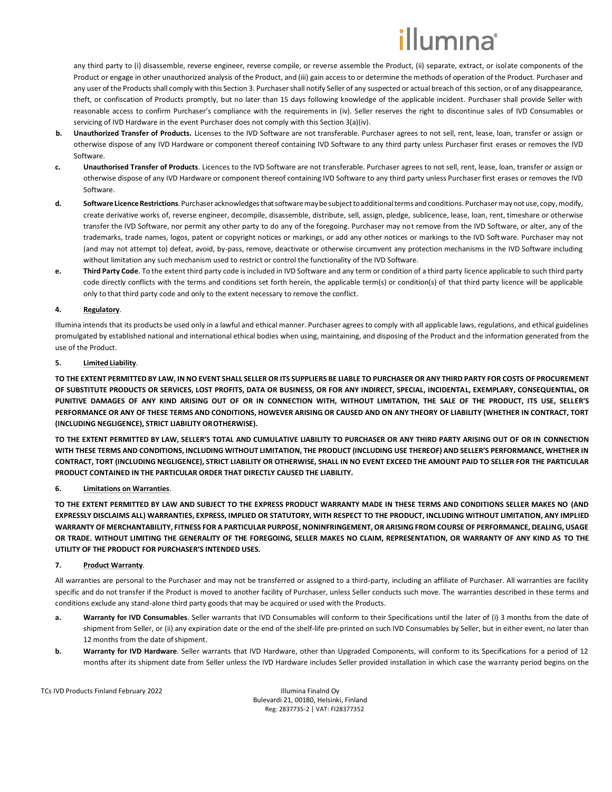# lumına

any third party to (i) disassemble, reverse engineer, reverse compile, or reverse assemble the Product, (ii) separate, extract, or isolate components of the Product or engage in other unauthorized analysis of the Product, and (iii) gain access to or determine the methods of operation of the Product. Purchaser and any user of the Products shall comply with this Section 3. Purchaser shall notify Seller of any suspected or actual breach of this section, or of any disappearance, theft, or confiscation of Products promptly, but no later than 15 days following knowledge of the applicable incident. Purchaser shall provide Seller with reasonable access to confirm Purchaser's compliance with the requirements in (iv). Seller reserves the right to discontinue sales of IVD Consumables or servicing of IVD Hardware in the event Purchaser does not comply with this Section 3(a)(iv).

- **b. Unauthorized Transfer of Products.** Licenses to the IVD Software are not transferable. Purchaser agrees to not sell, rent, lease, loan, transfer or assign or otherwise dispose of any IVD Hardware or component thereof containing IVD Software to any third party unless Purchaser first erases or removes the IVD Software.
- **c. Unauthorised Transfer of Products**. Licences to the IVD Software are not transferable. Purchaser agrees to not sell, rent, lease, loan, transfer or assign or otherwise dispose of any IVD Hardware or component thereof containing IVD Software to any third party unless Purchaser first erases or removes the IVD Software.
- d. Software Licence Restrictions. Purchaser acknowledges that software may be subject to additional terms and conditions. Purchaser may not use, copy, modify, create derivative works of, reverse engineer, decompile, disassemble, distribute, sell, assign, pledge, sublicence, lease, loan, rent, timeshare or otherwise transfer the IVD Software, nor permit any other party to do any of the foregoing. Purchaser may not remove from the IVD Software, or alter, any of the trademarks, trade names, logos, patent or copyright notices or markings, or add any other notices or markings to the IVD Software. Purchaser may not (and may not attempt to) defeat, avoid, by-pass, remove, deactivate or otherwise circumvent any protection mechanisms in the IVD Software including without limitation any such mechanism used to restrict or control the functionality of the IVD Software.
- **e. Third Party Code**. To the extent third party code is included in IVD Software and any term or condition of a third party licence applicable to such third party code directly conflicts with the terms and conditions set forth herein, the applicable term(s) or condition(s) of that third party licence will be applicable only to that third party code and only to the extent necessary to remove the conflict.

## **4. Regulatory**.

Illumina intends that its products be used only in a lawful and ethical manner. Purchaser agrees to comply with all applicable laws, regulations, and ethical guidelines promulgated by established national and international ethical bodies when using, maintaining, and disposing of the Product and the information generated from the use of the Product.

## **5. Limited Liability**.

**TO THE EXTENT PERMITTED BY LAW, IN NO EVENT SHALL SELLER OR ITS SUPPLIERS BE LIABLE TO PURCHASER OR ANY THIRD PARTY FOR COSTS OF PROCUREMENT OF SUBSTITUTE PRODUCTS OR SERVICES, LOST PROFITS, DATA OR BUSINESS, OR FOR ANY INDIRECT, SPECIAL, INCIDENTAL, EXEMPLARY, CONSEQUENTIAL, OR PUNITIVE DAMAGES OF ANY KIND ARISING OUT OF OR IN CONNECTION WITH, WITHOUT LIMITATION, THE SALE OF THE PRODUCT, ITS USE, SELLER'S PERFORMANCE OR ANY OF THESE TERMS AND CONDITIONS, HOWEVER ARISING OR CAUSED AND ON ANY THEORY OF LIABILITY (WHETHER IN CONTRACT, TORT (INCLUDING NEGLIGENCE), STRICT LIABILITY OROTHERWISE).**

**TO THE EXTENT PERMITTED BY LAW, SELLER'S TOTAL AND CUMULATIVE LIABILITY TO PURCHASER OR ANY THIRD PARTY ARISING OUT OF OR IN CONNECTION WITH THESE TERMS AND CONDITIONS, INCLUDING WITHOUT LIMITATION, THE PRODUCT (INCLUDING USE THEREOF) AND SELLER'S PERFORMANCE, WHETHER IN CONTRACT, TORT (INCLUDING NEGLIGENCE), STRICT LIABILITY OR OTHERWISE, SHALL IN NO EVENT EXCEED THE AMOUNT PAID TO SELLER FOR THE PARTICULAR PRODUCT CONTAINED IN THE PARTICULAR ORDER THAT DIRECTLY CAUSED THE LIABILITY.**

# **6. Limitations on Warranties**.

**TO THE EXTENT PERMITTED BY LAW AND SUBJECT TO THE EXPRESS PRODUCT WARRANTY MADE IN THESE TERMS AND CONDITIONS SELLER MAKES NO (AND EXPRESSLY DISCLAIMS ALL) WARRANTIES, EXPRESS, IMPLIED OR STATUTORY, WITH RESPECT TO THE PRODUCT, INCLUDING WITHOUT LIMITATION, ANY IMPLIED WARRANTY OF MERCHANTABILITY, FITNESS FOR A PARTICULAR PURPOSE, NONINFRINGEMENT, OR ARISING FROM COURSE OF PERFORMANCE, DEALING, USAGE OR TRADE. WITHOUT LIMITING THE GENERALITY OF THE FOREGOING, SELLER MAKES NO CLAIM, REPRESENTATION, OR WARRANTY OF ANY KIND AS TO THE UTILITY OF THE PRODUCT FOR PURCHASER'S INTENDED USES.**

# **7. Product Warranty**.

All warranties are personal to the Purchaser and may not be transferred or assigned to a third-party, including an affiliate of Purchaser. All warranties are facility specific and do not transfer if the Product is moved to another facility of Purchaser, unless Seller conducts such move. The warranties described in these terms and conditions exclude any stand-alone third party goods that may be acquired or used with the Products.

- **a. Warranty for IVD Consumables**. Seller warrants that IVD Consumables will conform to their Specifications until the later of (i) 3 months from the date of shipment from Seller, or (ii) any expiration date or the end of the shelf-life pre-printed on such IVD Consumables by Seller, but in either event, no later than 12 months from the date of shipment.
- **b. Warranty for IVD Hardware**. Seller warrants that IVD Hardware, other than Upgraded Components, will conform to its Specifications for a period of 12 months after its shipment date from Seller unless the IVD Hardware includes Seller provided installation in which case the warranty period begins on the

TCs IVD Products Finland February 2022 **Illumina Finalnd Oy**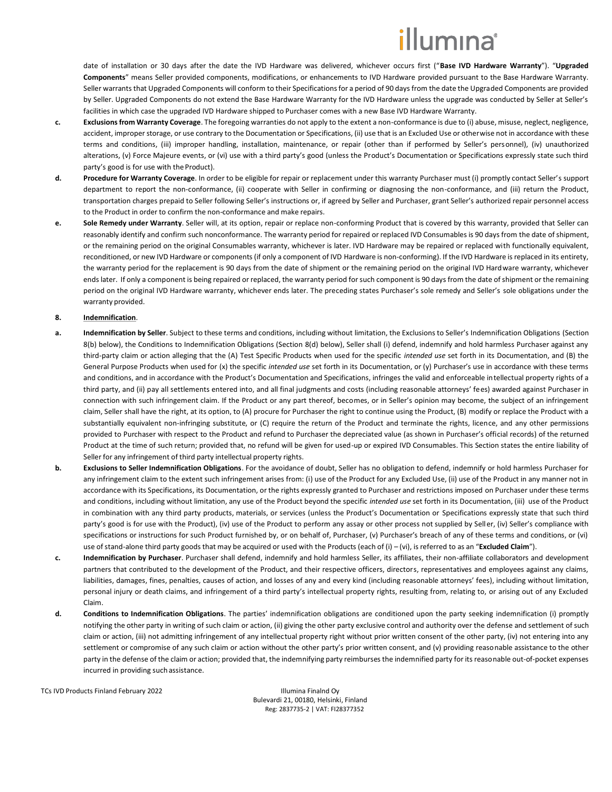# illumına<sup>®</sup>

date of installation or 30 days after the date the IVD Hardware was delivered, whichever occurs first ("**Base IVD Hardware Warranty**"). "**Upgraded Components**" means Seller provided components, modifications, or enhancements to IVD Hardware provided pursuant to the Base Hardware Warranty. Seller warrants that Upgraded Components will conform to their Specifications for a period of 90 days from the date the Upgraded Components are provided by Seller. Upgraded Components do not extend the Base Hardware Warranty for the IVD Hardware unless the upgrade was conducted by Seller at Seller's facilities in which case the upgraded IVD Hardware shipped to Purchaser comes with a new Base IVD Hardware Warranty.

- **c. Exclusions from Warranty Coverage**. The foregoing warranties do not apply to the extent a non-conformance is due to (i) abuse, misuse, neglect, negligence, accident, improper storage, or use contrary to the Documentation or Specifications, (ii) use that is an Excluded Use or otherwise not in accordance with these terms and conditions, (iii) improper handling, installation, maintenance, or repair (other than if performed by Seller's personnel), (iv) unauthorized alterations, (v) Force Majeure events, or (vi) use with a third party's good (unless the Product's Documentation or Specifications expressly state such third party's good is for use with theProduct).
- **d. Procedure for Warranty Coverage**. In order to be eligible for repair or replacement under this warranty Purchaser must (i) promptly contact Seller's support department to report the non-conformance, (ii) cooperate with Seller in confirming or diagnosing the non-conformance, and (iii) return the Product, transportation charges prepaid to Seller following Seller's instructions or, if agreed by Seller and Purchaser, grant Seller's authorized repair personnel access to the Product in order to confirm the non-conformance and make repairs.
- **e. Sole Remedy under Warranty**. Seller will, at its option, repair or replace non-conforming Product that is covered by this warranty, provided that Seller can reasonably identify and confirm such nonconformance. The warranty period for repaired or replaced IVD Consumables is 90 days from the date ofshipment, or the remaining period on the original Consumables warranty, whichever is later. IVD Hardware may be repaired or replaced with functionally equivalent, reconditioned, or new IVD Hardware or components (if only a component of IVD Hardware is non-conforming). If the IVD Hardware is replaced in its entirety, the warranty period for the replacement is 90 days from the date of shipment or the remaining period on the original IVD Hardware warranty, whichever ends later. If only a component is being repaired or replaced, the warranty period for such component is 90 days from the date of shipment or the remaining period on the original IVD Hardware warranty, whichever ends later. The preceding states Purchaser's sole remedy and Seller's sole obligations under the warranty provided.

## <span id="page-2-0"></span>**8. Indemnification**.

- **a. Indemnification by Seller**. Subject to these terms and conditions, including without limitation, the Exclusions to Seller's Indemnification Obligations (Section [8\(](#page-2-0)[b\)](#page-2-1) below), the Conditions to Indemnification Obligations (Section [8](#page-2-0)[\(d\)](#page-2-2) below), Seller shall (i) defend, indemnify and hold harmless Purchaser against any third-party claim or action alleging that the (A) Test Specific Products when used for the specific *intended use* set forth in its Documentation, and (B) the General Purpose Products when used for (x) the specific *intended use* set forth in its Documentation, or (y) Purchaser's use in accordance with these terms and conditions, and in accordance with the Product's Documentation and Specifications, infringes the valid and enforceable intellectual property rights of a third party, and (ii) pay all settlements entered into, and all final judgments and costs (including reasonable attorneys' fees) awarded against Purchaser in connection with such infringement claim. If the Product or any part thereof, becomes, or in Seller's opinion may become, the subject of an infringement claim, Seller shall have the right, at its option, to (A) procure for Purchaser the right to continue using the Product, (B) modify or replace the Product with a substantially equivalent non-infringing substitute, or (C) require the return of the Product and terminate the rights, licence, and any other permissions provided to Purchaser with respect to the Product and refund to Purchaser the depreciated value (as shown in Purchaser's official records) of the returned Product at the time of such return; provided that, no refund will be given for used-up or expired IVD Consumables. This Section states the entire liability of Seller for any infringement of third party intellectual property rights.
- <span id="page-2-1"></span>**b. Exclusions to Seller Indemnification Obligations**. For the avoidance of doubt, Seller has no obligation to defend, indemnify or hold harmless Purchaser for any infringement claim to the extent such infringement arises from: (i) use of the Product for any Excluded Use, (ii) use of the Product in any manner not in accordance with its Specifications, its Documentation, or the rights expressly granted to Purchaser and restrictions imposed on Purchaser under these terms and conditions, including without limitation, any use of the Product beyond the specific *intended use* set forth in its Documentation, (iii) use of the Product in combination with any third party products, materials, or services (unless the Product's Documentation or Specifications expressly state that such third party's good is for use with the Product), (iv) use of the Product to perform any assay or other process not supplied by Seller, (iv) Seller's compliance with specifications or instructions for such Product furnished by, or on behalf of, Purchaser, (v) Purchaser's breach of any of these terms and conditions, or (vi) use of stand-alone third party goods that may be acquired or used with the Products (each of (i) – (vi), is referred to as an "**Excluded Claim**").
- **c. Indemnification by Purchaser**. Purchaser shall defend, indemnify and hold harmless Seller, its affiliates, their non-affiliate collaborators and development partners that contributed to the development of the Product, and their respective officers, directors, representatives and employees against any claims, liabilities, damages, fines, penalties, causes of action, and losses of any and every kind (including reasonable attorneys' fees), including without limitation, personal injury or death claims, and infringement of a third party's intellectual property rights, resulting from, relating to, or arising out of any Excluded Claim.
- <span id="page-2-2"></span>**d. Conditions to Indemnification Obligations**. The parties' indemnification obligations are conditioned upon the party seeking indemnification (i) promptly notifying the other party in writing of such claim or action, (ii) giving the other party exclusive control and authority over the defense and settlement of such claim or action, (iii) not admitting infringement of any intellectual property right without prior written consent of the other party, (iv) not entering into any settlement or compromise of any such claim or action without the other party's prior written consent, and (v) providing reasonable assistance to the other party in the defense of the claim or action; provided that, the indemnifying party reimburses the indemnified party for its reasonable out-of-pocket expenses incurred in providing suchassistance.

TCs IVD Products Finland February 2022 **Illumina Finalnd Oy**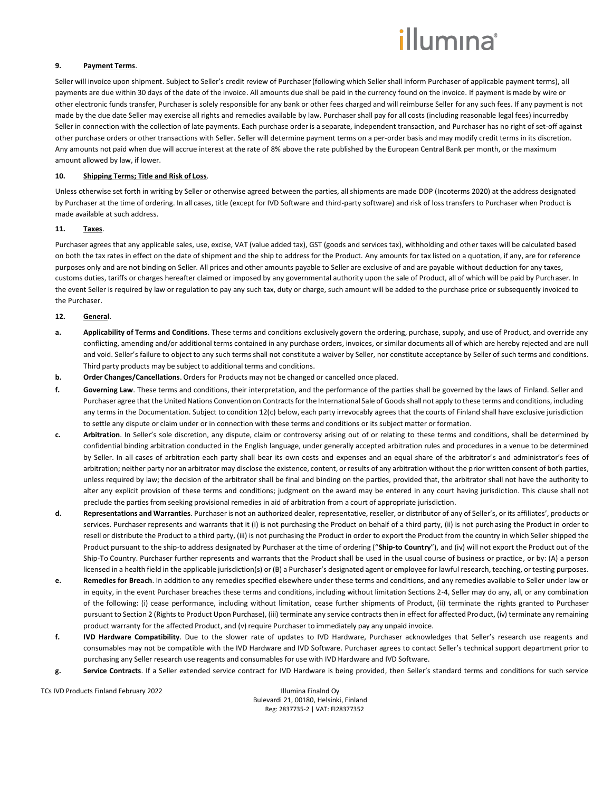# *illum*ına<sup>\*</sup>

### **9. Payment Terms**.

Seller will invoice upon shipment. Subject to Seller's credit review of Purchaser (following which Seller shall inform Purchaser of applicable payment terms), all payments are due within 30 days of the date of the invoice. All amounts due shall be paid in the currency found on the invoice. If payment is made by wire or other electronic funds transfer, Purchaser is solely responsible for any bank or other fees charged and will reimburse Seller for any such fees. If any payment is not made by the due date Seller may exercise all rights and remedies available by law. Purchaser shall pay for all costs (including reasonable legal fees) incurredby Seller in connection with the collection of late payments. Each purchase order is a separate, independent transaction, and Purchaser has no right of set-off against other purchase orders or other transactions with Seller. Seller will determine payment terms on a per-order basis and may modify credit terms in its discretion. Any amounts not paid when due will accrue interest at the rate of 8% above the rate published by the European Central Bank per month, or the maximum amount allowed by law, if lower.

### **10. Shipping Terms; Title and Risk of Loss**.

Unless otherwise set forth in writing by Seller or otherwise agreed between the parties, all shipments are made DDP (Incoterms 2020) at the address designated by Purchaser at the time of ordering. In all cases, title (except for IVD Software and third-party software) and risk of loss transfers to Purchaser when Product is made available at such address.

### **11. Taxes**.

Purchaser agrees that any applicable sales, use, excise, VAT (value added tax), GST (goods and services tax), withholding and other taxes will be calculated based on both the tax rates in effect on the date of shipment and the ship to address for the Product. Any amounts for tax listed on a quotation, if any, are for reference purposes only and are not binding on Seller. All prices and other amounts payable to Seller are exclusive of and are payable without deduction for any taxes, customs duties, tariffs or charges hereafter claimed or imposed by any governmental authority upon the sale of Product, all of which will be paid by Purchaser. In the event Seller is required by law or regulation to pay any such tax, duty or charge, such amount will be added to the purchase price or subsequently invoiced to the Purchaser.

### **12. General**.

- **a. Applicability of Terms and Conditions**. These terms and conditions exclusively govern the ordering, purchase, supply, and use of Product, and override any conflicting, amending and/or additional terms contained in any purchase orders, invoices, or similar documents all of which are hereby rejected and are null and void. Seller's failure to object to any such terms shall not constitute a waiver by Seller, nor constitute acceptance by Seller of such terms and conditions. Third party products may be subject to additional terms and conditions.
- **b. Order Changes/Cancellations**. Orders for Products may not be changed or cancelled once placed.
- **f. Governing Law**. These terms and conditions, their interpretation, and the performance of the parties shall be governed by the laws of Finland. Seller and Purchaser agree that the United Nations Convention on Contracts for the International Sale of Goods shall not apply to these terms and conditions, including any terms in the Documentation. Subject to condition 12(c) below, each party irrevocably agrees that the courts of Finland shall have exclusive jurisdiction to settle any dispute or claim under or in connection with these terms and conditions or its subject matter or formation.
- **c. Arbitration**. In Seller's sole discretion, any dispute, claim or controversy arising out of or relating to these terms and conditions, shall be determined by confidential binding arbitration conducted in the English language, under generally accepted arbitration rules and procedures in a venue to be determined by Seller. In all cases of arbitration each party shall bear its own costs and expenses and an equal share of the arbitrator's and administrator's fees of arbitration; neither party nor an arbitrator may disclose the existence, content, or results of any arbitration without the prior written consent of both parties, unless required by law; the decision of the arbitrator shall be final and binding on the parties, provided that, the arbitrator shall not have the authority to alter any explicit provision of these terms and conditions; judgment on the award may be entered in any court having jurisdic tion. This clause shall not preclude the parties from seeking provisional remedies in aid of arbitration from a court of appropriate jurisdiction.
- **d. Representations and Warranties**. Purchaser is not an authorized dealer, representative, reseller, or distributor of any of Seller's, or its affiliates', products or services. Purchaser represents and warrants that it (i) is not purchasing the Product on behalf of a third party, (ii) is not purchasing the Product in order to resell or distribute the Product to a third party, (iii) is not purchasing the Product in order to export the Product from the country in which Seller shipped the Product pursuant to the ship-to address designated by Purchaser at the time of ordering ("**Ship-to Country**"), and (iv) will not export the Product out of the Ship-To Country. Purchaser further represents and warrants that the Product shall be used in the usual course of business or practice, or by: (A) a person licensed in a health field in the applicable jurisdiction(s) or (B) a Purchaser's designated agent or employee for lawful research, teaching, or testing purposes.
- **e. Remedies for Breach**. In addition to any remedies specified elsewhere under these terms and conditions, and any remedies available to Seller under law or in equity, in the event Purchaser breaches these terms and conditions, including without limitation Sections 2-4, Seller may do any, all, or any combination of the following: (i) cease performance, including without limitation, cease further shipments of Product, (ii) terminate the rights granted to Purchaser pursuant to Section 2 (Rights to Product Upon Purchase), (iii) terminate any service contracts then in effect for affected Product, (iv) terminate any remaining product warranty for the affected Product, and (v) require Purchaser to immediately pay any unpaid invoice.
- **f. IVD Hardware Compatibility**. Due to the slower rate of updates to IVD Hardware, Purchaser acknowledges that Seller's research use reagents and consumables may not be compatible with the IVD Hardware and IVD Software. Purchaser agrees to contact Seller's technical support department prior to purchasing any Seller research use reagents and consumables for use with IVD Hardware and IVD Software.
- **g. Service Contracts**. If a Seller extended service contract for IVD Hardware is being provided, then Seller's standard terms and conditions for such service

TCs IVD Products Finland February 2022 **Illumina Finalnd Oy**